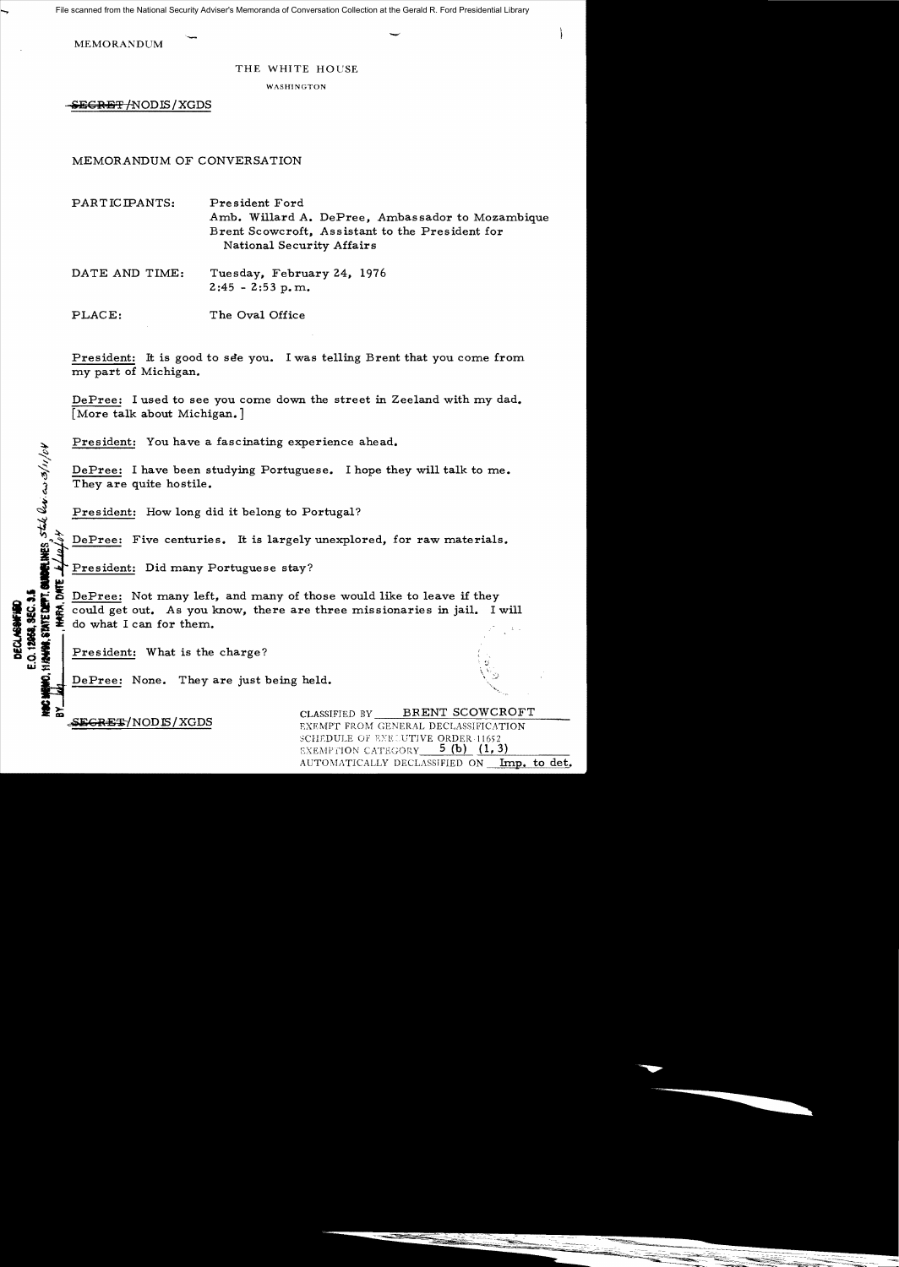File scanned from the National Security Adviser's Memoranda of Conversation Collection at the Gerald R. Ford Presidential Library

MEMORANDUM

## THE WHITE HOUSE

WASHINGTON

SE<del>GRET /</del>NODIS / XGDS

MEMORANDUM OF CONVERSATION

**-**

PARTICIPANTS: President Ford Amb. Willard A. DePree, Ambassador to Mozambique Brent Scowcroft, Assistant to the President for National Security Affairs

DATE AND TIME: Tuesday, February 24, 1976  $2:45 - 2:53$  p.m.

PLACE: The Oval Office

President: It is good to see you. I was telling Brent that you come from my part of Michigan.

DePree: I used to see you come down the street in Zeeland with my dad. [More talk about Michigan.]

President: You have a fascinating experience ahead.

DePree: I have been studying Portuguese. I hope they will talk to me. They are quite hostile.

President: How long did it belong to Portugal?

President: Did many Portuguese stay?

**Example 2** I have been studying Portuguese. I hope they will talk to me.<br>
They are quite hostile.<br> **President:** How long did it belong to Portugal?<br> **President:** Five centuries. It is largely unexplored, for raw materials DePree: Not many left, and many of those would like to leave if they<br>  $\sum_{n=0}^{\infty}$  could get out. As you know, there are three missionaries in jail. In<br>  $\sum_{n=0}^{\infty}$  do what Leap for them i ~ ~ i could get out. As you know, there are three missionaries in jail. I will do what I can for them.

 $P$ resident: What is the charge?

DePree: None. They are just being held.

**DECLASSIFIN**<br>E.O. 12968, SEN<br>HIANNA, STATE (

I~ CLASSIFIED BY \_\_B=-=.R....::E=-:N,--,--=T-",-S-,-C-"O,-W,---C\_R\_O,---F\_T\_\_\_ c-Sa:G~E~/NODJS/XGDS EXEMPT FROM GENERAL DECLASSIFICATION SCHEDULE OF EXECUTIVE ORDER 11652 EXEMPTION CATEGORY  $-$  5 (b)  $(1, 3)$ <br>AUTOMATICALLY DECLASSIFIED ON Imp. to det.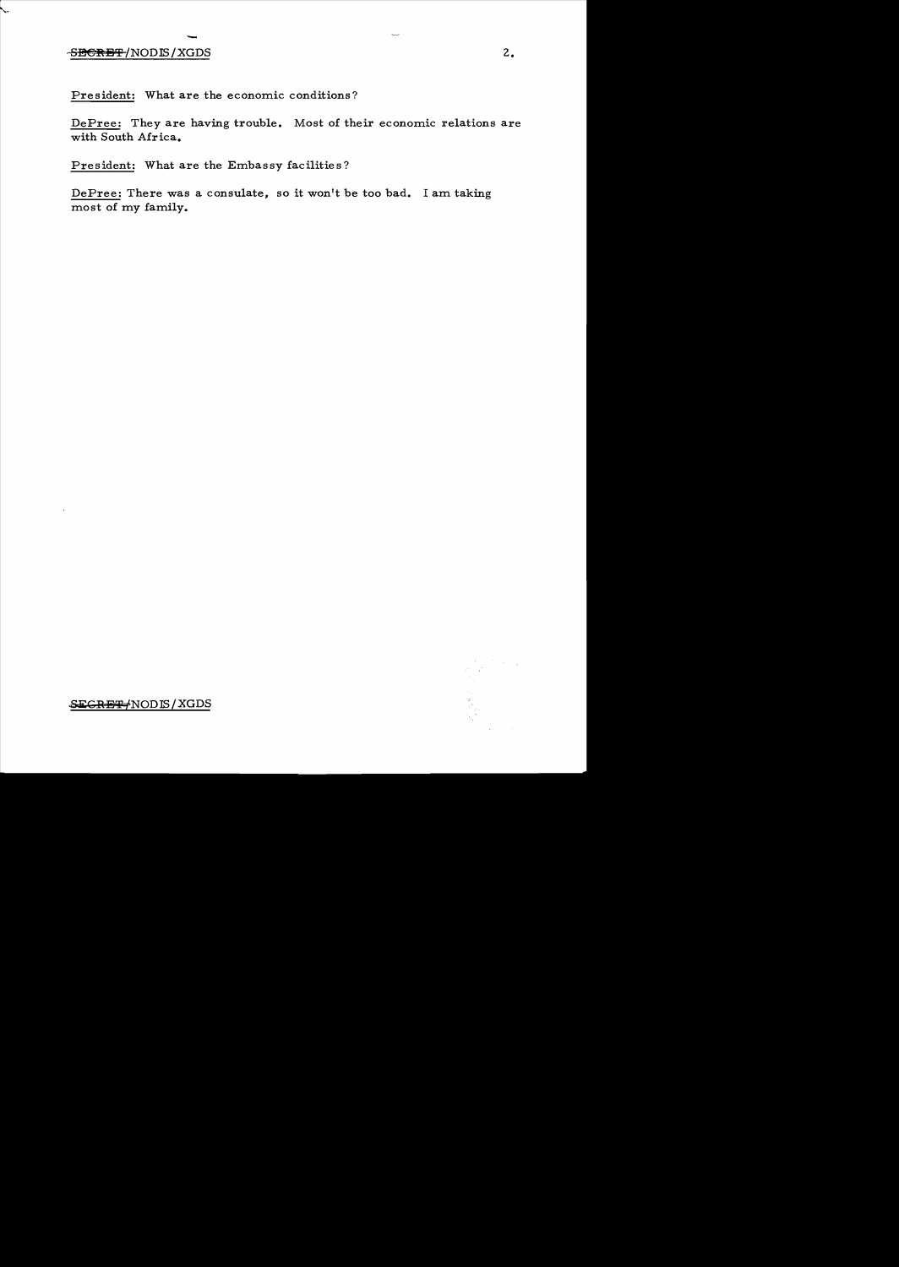## - SHERHT/NODIS/XGDS 2.

..,.

President: What are the economic conditions?

DePree: They are having trouble. Most of their economic relations are with South Africa.

President: What are the Embassy facilities?

DePree: There was a consulate, so it won't be too bad. I am taking most of my family.

~CRB~NODIS/XGDS